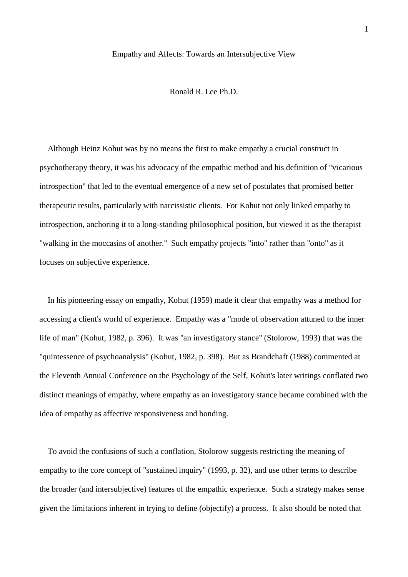### Empathy and Affects: Towards an Intersubjective View

Ronald R. Lee Ph.D.

 Although Heinz Kohut was by no means the first to make empathy a crucial construct in psychotherapy theory, it was his advocacy of the empathic method and his definition of "vicarious introspection" that led to the eventual emergence of a new set of postulates that promised better therapeutic results, particularly with narcissistic clients. For Kohut not only linked empathy to introspection, anchoring it to a long-standing philosophical position, but viewed it as the therapist "walking in the moccasins of another." Such empathy projects "into" rather than "onto" as it focuses on subjective experience.

 In his pioneering essay on empathy, Kohut (1959) made it clear that empathy was a method for accessing a client's world of experience. Empathy was a "mode of observation attuned to the inner life of man" (Kohut, 1982, p. 396). It was "an investigatory stance" (Stolorow, 1993) that was the "quintessence of psychoanalysis" (Kohut, 1982, p. 398). But as Brandchaft (1988) commented at the Eleventh Annual Conference on the Psychology of the Self, Kohut's later writings conflated two distinct meanings of empathy, where empathy as an investigatory stance became combined with the idea of empathy as affective responsiveness and bonding.

 To avoid the confusions of such a conflation, Stolorow suggests restricting the meaning of empathy to the core concept of "sustained inquiry" (1993, p. 32), and use other terms to describe the broader (and intersubjective) features of the empathic experience. Such a strategy makes sense given the limitations inherent in trying to define (objectify) a process. It also should be noted that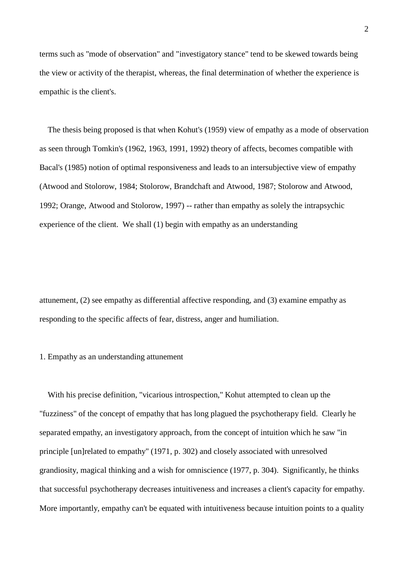terms such as "mode of observation" and "investigatory stance" tend to be skewed towards being the view or activity of the therapist, whereas, the final determination of whether the experience is empathic is the client's.

 The thesis being proposed is that when Kohut's (1959) view of empathy as a mode of observation as seen through Tomkin's (1962, 1963, 1991, 1992) theory of affects, becomes compatible with Bacal's (1985) notion of optimal responsiveness and leads to an intersubjective view of empathy (Atwood and Stolorow, 1984; Stolorow, Brandchaft and Atwood, 1987; Stolorow and Atwood, 1992; Orange, Atwood and Stolorow, 1997) -- rather than empathy as solely the intrapsychic experience of the client. We shall (1) begin with empathy as an understanding

attunement, (2) see empathy as differential affective responding, and (3) examine empathy as responding to the specific affects of fear, distress, anger and humiliation.

### 1. Empathy as an understanding attunement

 With his precise definition, "vicarious introspection," Kohut attempted to clean up the "fuzziness" of the concept of empathy that has long plagued the psychotherapy field. Clearly he separated empathy, an investigatory approach, from the concept of intuition which he saw "in principle [un]related to empathy" (1971, p. 302) and closely associated with unresolved grandiosity, magical thinking and a wish for omniscience (1977, p. 304). Significantly, he thinks that successful psychotherapy decreases intuitiveness and increases a client's capacity for empathy. More importantly, empathy can't be equated with intuitiveness because intuition points to a quality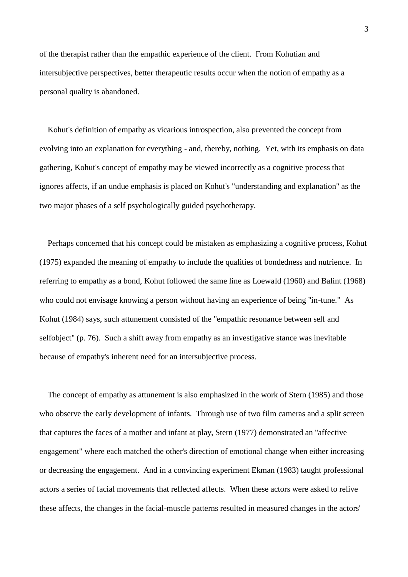of the therapist rather than the empathic experience of the client. From Kohutian and intersubjective perspectives, better therapeutic results occur when the notion of empathy as a personal quality is abandoned.

 Kohut's definition of empathy as vicarious introspection, also prevented the concept from evolving into an explanation for everything - and, thereby, nothing. Yet, with its emphasis on data gathering, Kohut's concept of empathy may be viewed incorrectly as a cognitive process that ignores affects, if an undue emphasis is placed on Kohut's "understanding and explanation" as the two major phases of a self psychologically guided psychotherapy.

 Perhaps concerned that his concept could be mistaken as emphasizing a cognitive process, Kohut (1975) expanded the meaning of empathy to include the qualities of bondedness and nutrience. In referring to empathy as a bond, Kohut followed the same line as Loewald (1960) and Balint (1968) who could not envisage knowing a person without having an experience of being "in-tune." As Kohut (1984) says, such attunement consisted of the "empathic resonance between self and selfobject" (p. 76). Such a shift away from empathy as an investigative stance was inevitable because of empathy's inherent need for an intersubjective process.

 The concept of empathy as attunement is also emphasized in the work of Stern (1985) and those who observe the early development of infants. Through use of two film cameras and a split screen that captures the faces of a mother and infant at play, Stern (1977) demonstrated an "affective engagement" where each matched the other's direction of emotional change when either increasing or decreasing the engagement. And in a convincing experiment Ekman (1983) taught professional actors a series of facial movements that reflected affects. When these actors were asked to relive these affects, the changes in the facial-muscle patterns resulted in measured changes in the actors'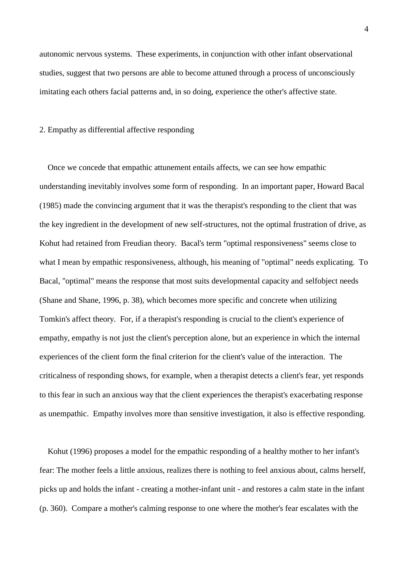autonomic nervous systems. These experiments, in conjunction with other infant observational studies, suggest that two persons are able to become attuned through a process of unconsciously imitating each others facial patterns and, in so doing, experience the other's affective state.

2. Empathy as differential affective responding

 Once we concede that empathic attunement entails affects, we can see how empathic understanding inevitably involves some form of responding. In an important paper, Howard Bacal (1985) made the convincing argument that it was the therapist's responding to the client that was the key ingredient in the development of new self-structures, not the optimal frustration of drive, as Kohut had retained from Freudian theory. Bacal's term "optimal responsiveness" seems close to what I mean by empathic responsiveness, although, his meaning of "optimal" needs explicating. To Bacal, "optimal" means the response that most suits developmental capacity and selfobject needs (Shane and Shane, 1996, p. 38), which becomes more specific and concrete when utilizing Tomkin's affect theory. For, if a therapist's responding is crucial to the client's experience of empathy, empathy is not just the client's perception alone, but an experience in which the internal experiences of the client form the final criterion for the client's value of the interaction. The criticalness of responding shows, for example, when a therapist detects a client's fear, yet responds to this fear in such an anxious way that the client experiences the therapist's exacerbating response as unempathic. Empathy involves more than sensitive investigation, it also is effective responding.

 Kohut (1996) proposes a model for the empathic responding of a healthy mother to her infant's fear: The mother feels a little anxious, realizes there is nothing to feel anxious about, calms herself, picks up and holds the infant - creating a mother-infant unit - and restores a calm state in the infant (p. 360). Compare a mother's calming response to one where the mother's fear escalates with the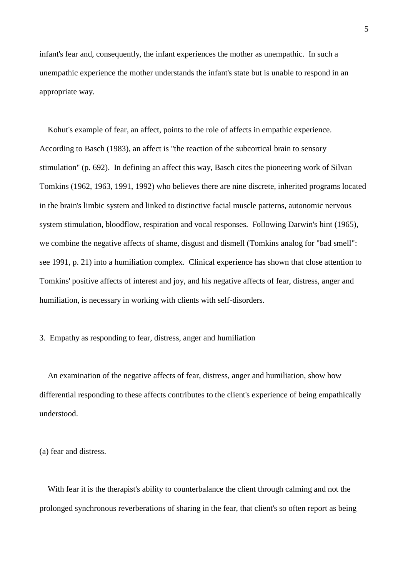infant's fear and, consequently, the infant experiences the mother as unempathic. In such a unempathic experience the mother understands the infant's state but is unable to respond in an appropriate way.

 Kohut's example of fear, an affect, points to the role of affects in empathic experience. According to Basch (1983), an affect is "the reaction of the subcortical brain to sensory stimulation" (p. 692). In defining an affect this way, Basch cites the pioneering work of Silvan Tomkins (1962, 1963, 1991, 1992) who believes there are nine discrete, inherited programs located in the brain's limbic system and linked to distinctive facial muscle patterns, autonomic nervous system stimulation, bloodflow, respiration and vocal responses. Following Darwin's hint (1965), we combine the negative affects of shame, disgust and dismell (Tomkins analog for "bad smell": see 1991, p. 21) into a humiliation complex. Clinical experience has shown that close attention to Tomkins' positive affects of interest and joy, and his negative affects of fear, distress, anger and humiliation, is necessary in working with clients with self-disorders.

3. Empathy as responding to fear, distress, anger and humiliation

 An examination of the negative affects of fear, distress, anger and humiliation, show how differential responding to these affects contributes to the client's experience of being empathically understood.

(a) fear and distress.

 With fear it is the therapist's ability to counterbalance the client through calming and not the prolonged synchronous reverberations of sharing in the fear, that client's so often report as being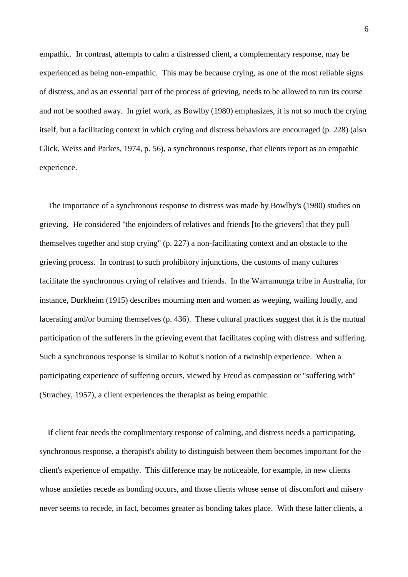empathic. In contrast, attempts to calm a distressed client, a complementary response, may be experienced as being non-empathic. This may be because crying, as one of the most reliable signs of distress, and as an essential part of the process of grieving, needs to be allowed to run its course and not be soothed away. In grief work, as Bowlby (1980) emphasizes, it is not so much the crying itself, but a facilitating context in which crying and distress behaviors are encouraged (p. 228) (also Glick, Weiss and Parkes, 1974, p. 56), a synchronous response, that clients report as an empathic experience.

 The importance of a synchronous response to distress was made by Bowlby's (1980) studies on grieving. He considered "the enjoinders of relatives and friends [to the grievers] that they pull themselves together and stop crying" (p. 227) a non-facilitating context and an obstacle to the grieving process. In contrast to such prohibitory injunctions, the customs of many cultures facilitate the synchronous crying of relatives and friends. In the Warramunga tribe in Australia, for instance, Durkheim (1915) describes mourning men and women as weeping, wailing loudly, and lacerating and/or burning themselves (p. 436). These cultural practices suggest that it is the mutual participation of the sufferers in the grieving event that facilitates coping with distress and suffering. Such a synchronous response is similar to Kohut's notion of a twinship experience. When a participating experience of suffering occurs, viewed by Freud as compassion or "suffering with" (Strachey, 1957), a client experiences the therapist as being empathic.

 If client fear needs the complimentary response of calming, and distress needs a participating, synchronous response, a therapist's ability to distinguish between them becomes important for the client's experience of empathy. This difference may be noticeable, for example, in new clients whose anxieties recede as bonding occurs, and those clients whose sense of discomfort and misery never seems to recede, in fact, becomes greater as bonding takes place. With these latter clients, a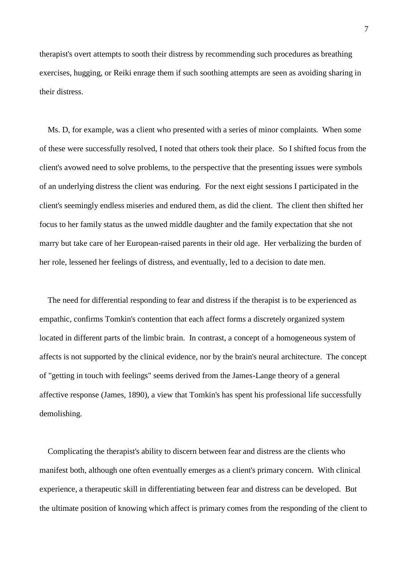therapist's overt attempts to sooth their distress by recommending such procedures as breathing exercises, hugging, or Reiki enrage them if such soothing attempts are seen as avoiding sharing in their distress.

 Ms. D, for example, was a client who presented with a series of minor complaints. When some of these were successfully resolved, I noted that others took their place. So I shifted focus from the client's avowed need to solve problems, to the perspective that the presenting issues were symbols of an underlying distress the client was enduring. For the next eight sessions I participated in the client's seemingly endless miseries and endured them, as did the client. The client then shifted her focus to her family status as the unwed middle daughter and the family expectation that she not marry but take care of her European-raised parents in their old age. Her verbalizing the burden of her role, lessened her feelings of distress, and eventually, led to a decision to date men.

 The need for differential responding to fear and distress if the therapist is to be experienced as empathic, confirms Tomkin's contention that each affect forms a discretely organized system located in different parts of the limbic brain. In contrast, a concept of a homogeneous system of affects is not supported by the clinical evidence, nor by the brain's neural architecture. The concept of "getting in touch with feelings" seems derived from the James-Lange theory of a general affective response (James, 1890), a view that Tomkin's has spent his professional life successfully demolishing.

 Complicating the therapist's ability to discern between fear and distress are the clients who manifest both, although one often eventually emerges as a client's primary concern. With clinical experience, a therapeutic skill in differentiating between fear and distress can be developed. But the ultimate position of knowing which affect is primary comes from the responding of the client to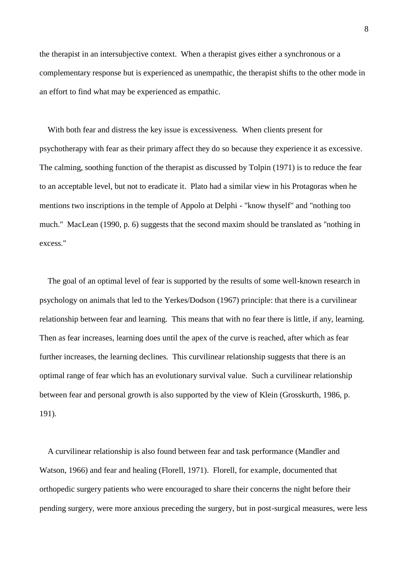the therapist in an intersubjective context. When a therapist gives either a synchronous or a complementary response but is experienced as unempathic, the therapist shifts to the other mode in an effort to find what may be experienced as empathic.

 With both fear and distress the key issue is excessiveness. When clients present for psychotherapy with fear as their primary affect they do so because they experience it as excessive. The calming, soothing function of the therapist as discussed by Tolpin (1971) is to reduce the fear to an acceptable level, but not to eradicate it. Plato had a similar view in his Protagoras when he mentions two inscriptions in the temple of Appolo at Delphi - "know thyself" and "nothing too much." MacLean (1990, p. 6) suggests that the second maxim should be translated as "nothing in excess."

 The goal of an optimal level of fear is supported by the results of some well-known research in psychology on animals that led to the Yerkes/Dodson (1967) principle: that there is a curvilinear relationship between fear and learning. This means that with no fear there is little, if any, learning. Then as fear increases, learning does until the apex of the curve is reached, after which as fear further increases, the learning declines. This curvilinear relationship suggests that there is an optimal range of fear which has an evolutionary survival value. Such a curvilinear relationship between fear and personal growth is also supported by the view of Klein (Grosskurth, 1986, p. 191).

 A curvilinear relationship is also found between fear and task performance (Mandler and Watson, 1966) and fear and healing (Florell, 1971). Florell, for example, documented that orthopedic surgery patients who were encouraged to share their concerns the night before their pending surgery, were more anxious preceding the surgery, but in post-surgical measures, were less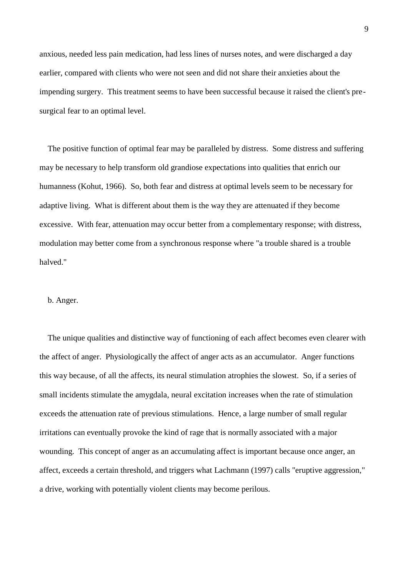anxious, needed less pain medication, had less lines of nurses notes, and were discharged a day earlier, compared with clients who were not seen and did not share their anxieties about the impending surgery. This treatment seems to have been successful because it raised the client's presurgical fear to an optimal level.

 The positive function of optimal fear may be paralleled by distress. Some distress and suffering may be necessary to help transform old grandiose expectations into qualities that enrich our humanness (Kohut, 1966). So, both fear and distress at optimal levels seem to be necessary for adaptive living. What is different about them is the way they are attenuated if they become excessive. With fear, attenuation may occur better from a complementary response; with distress, modulation may better come from a synchronous response where "a trouble shared is a trouble halved."

### b. Anger.

 The unique qualities and distinctive way of functioning of each affect becomes even clearer with the affect of anger. Physiologically the affect of anger acts as an accumulator. Anger functions this way because, of all the affects, its neural stimulation atrophies the slowest. So, if a series of small incidents stimulate the amygdala, neural excitation increases when the rate of stimulation exceeds the attenuation rate of previous stimulations. Hence, a large number of small regular irritations can eventually provoke the kind of rage that is normally associated with a major wounding. This concept of anger as an accumulating affect is important because once anger, an affect, exceeds a certain threshold, and triggers what Lachmann (1997) calls "eruptive aggression," a drive, working with potentially violent clients may become perilous.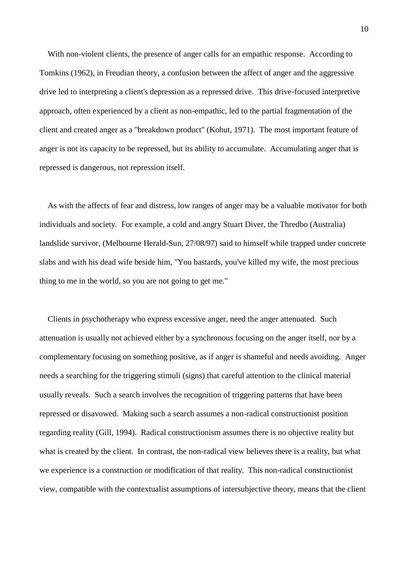With non-violent clients, the presence of anger calls for an empathic response. According to Tomkins (1962), in Freudian theory, a confusion between the affect of anger and the aggressive drive led to interpreting a client's depression as a repressed drive. This drive-focused interpretive approach, often experienced by a client as non-empathic, led to the partial fragmentation of the client and created anger as a "breakdown product" (Kohut, 1971). The most important feature of anger is not its capacity to be repressed, but its ability to accumulate. Accumulating anger that is repressed is dangerous, not repression itself.

 As with the affects of fear and distress, low ranges of anger may be a valuable motivator for both individuals and society. For example, a cold and angry Stuart Diver, the Thredbo (Australia) landslide survivor, (Melbourne Herald-Sun, 27/08/97) said to himself while trapped under concrete slabs and with his dead wife beside him, "You bastards, you've killed my wife, the most precious thing to me in the world, so you are not going to get me."

 Clients in psychotherapy who express excessive anger, need the anger attenuated. Such attenuation is usually not achieved either by a synchronous focusing on the anger itself, nor by a complementary focusing on something positive, as if anger is shameful and needs avoiding. Anger needs a searching for the triggering stimuli (signs) that careful attention to the clinical material usually reveals. Such a search involves the recognition of triggering patterns that have been repressed or disavowed. Making such a search assumes a non-radical constructionist position regarding reality (Gill, 1994). Radical constructionism assumes there is no objective reality but what is created by the client. In contrast, the non-radical view believes there is a reality, but what we experience is a construction or modification of that reality. This non-radical constructionist view, compatible with the contextualist assumptions of intersubjective theory, means that the client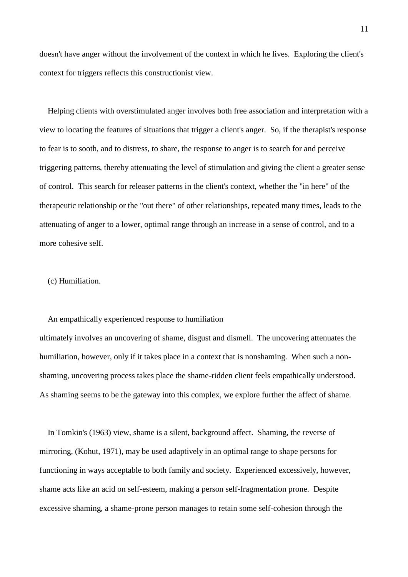doesn't have anger without the involvement of the context in which he lives. Exploring the client's context for triggers reflects this constructionist view.

 Helping clients with overstimulated anger involves both free association and interpretation with a view to locating the features of situations that trigger a client's anger. So, if the therapist's response to fear is to sooth, and to distress, to share, the response to anger is to search for and perceive triggering patterns, thereby attenuating the level of stimulation and giving the client a greater sense of control. This search for releaser patterns in the client's context, whether the "in here" of the therapeutic relationship or the "out there" of other relationships, repeated many times, leads to the attenuating of anger to a lower, optimal range through an increase in a sense of control, and to a more cohesive self.

# (c) Humiliation.

#### An empathically experienced response to humiliation

ultimately involves an uncovering of shame, disgust and dismell. The uncovering attenuates the humiliation, however, only if it takes place in a context that is nonshaming. When such a nonshaming, uncovering process takes place the shame-ridden client feels empathically understood. As shaming seems to be the gateway into this complex, we explore further the affect of shame.

 In Tomkin's (1963) view, shame is a silent, background affect. Shaming, the reverse of mirroring, (Kohut, 1971), may be used adaptively in an optimal range to shape persons for functioning in ways acceptable to both family and society. Experienced excessively, however, shame acts like an acid on self-esteem, making a person self-fragmentation prone. Despite excessive shaming, a shame-prone person manages to retain some self-cohesion through the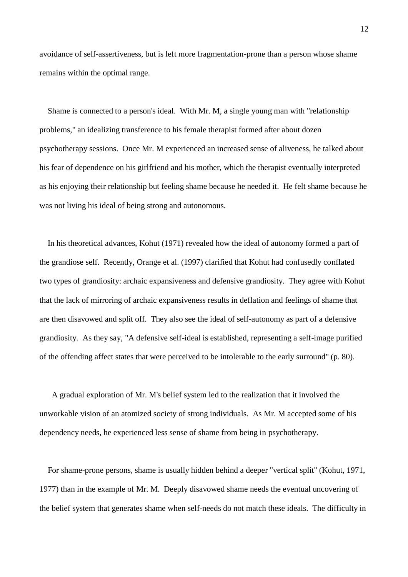avoidance of self-assertiveness, but is left more fragmentation-prone than a person whose shame remains within the optimal range.

 Shame is connected to a person's ideal. With Mr. M, a single young man with "relationship problems," an idealizing transference to his female therapist formed after about dozen psychotherapy sessions. Once Mr. M experienced an increased sense of aliveness, he talked about his fear of dependence on his girlfriend and his mother, which the therapist eventually interpreted as his enjoying their relationship but feeling shame because he needed it. He felt shame because he was not living his ideal of being strong and autonomous.

 In his theoretical advances, Kohut (1971) revealed how the ideal of autonomy formed a part of the grandiose self. Recently, Orange et al. (1997) clarified that Kohut had confusedly conflated two types of grandiosity: archaic expansiveness and defensive grandiosity. They agree with Kohut that the lack of mirroring of archaic expansiveness results in deflation and feelings of shame that are then disavowed and split off. They also see the ideal of self-autonomy as part of a defensive grandiosity. As they say, "A defensive self-ideal is established, representing a self-image purified of the offending affect states that were perceived to be intolerable to the early surround" (p. 80).

 A gradual exploration of Mr. M's belief system led to the realization that it involved the unworkable vision of an atomized society of strong individuals. As Mr. M accepted some of his dependency needs, he experienced less sense of shame from being in psychotherapy.

 For shame-prone persons, shame is usually hidden behind a deeper "vertical split" (Kohut, 1971, 1977) than in the example of Mr. M. Deeply disavowed shame needs the eventual uncovering of the belief system that generates shame when self-needs do not match these ideals. The difficulty in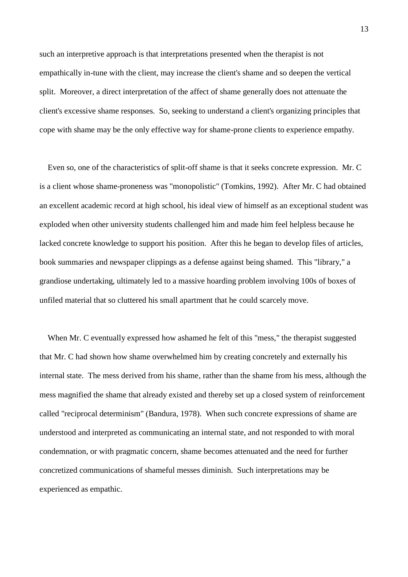such an interpretive approach is that interpretations presented when the therapist is not empathically in-tune with the client, may increase the client's shame and so deepen the vertical split. Moreover, a direct interpretation of the affect of shame generally does not attenuate the client's excessive shame responses. So, seeking to understand a client's organizing principles that cope with shame may be the only effective way for shame-prone clients to experience empathy.

 Even so, one of the characteristics of split-off shame is that it seeks concrete expression. Mr. C is a client whose shame-proneness was "monopolistic" (Tomkins, 1992). After Mr. C had obtained an excellent academic record at high school, his ideal view of himself as an exceptional student was exploded when other university students challenged him and made him feel helpless because he lacked concrete knowledge to support his position. After this he began to develop files of articles, book summaries and newspaper clippings as a defense against being shamed. This "library," a grandiose undertaking, ultimately led to a massive hoarding problem involving 100s of boxes of unfiled material that so cluttered his small apartment that he could scarcely move.

 When Mr. C eventually expressed how ashamed he felt of this "mess," the therapist suggested that Mr. C had shown how shame overwhelmed him by creating concretely and externally his internal state. The mess derived from his shame, rather than the shame from his mess, although the mess magnified the shame that already existed and thereby set up a closed system of reinforcement called "reciprocal determinism" (Bandura, 1978). When such concrete expressions of shame are understood and interpreted as communicating an internal state, and not responded to with moral condemnation, or with pragmatic concern, shame becomes attenuated and the need for further concretized communications of shameful messes diminish. Such interpretations may be experienced as empathic.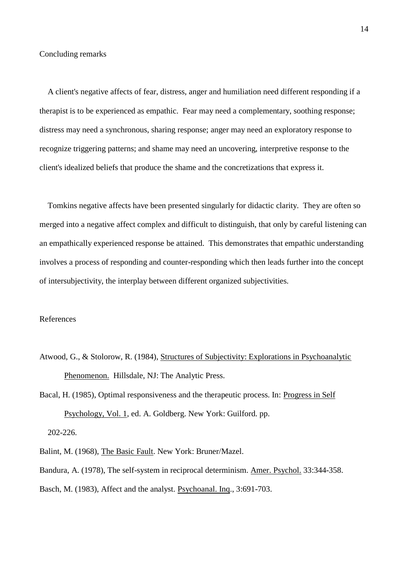A client's negative affects of fear, distress, anger and humiliation need different responding if a therapist is to be experienced as empathic. Fear may need a complementary, soothing response; distress may need a synchronous, sharing response; anger may need an exploratory response to recognize triggering patterns; and shame may need an uncovering, interpretive response to the client's idealized beliefs that produce the shame and the concretizations that express it.

 Tomkins negative affects have been presented singularly for didactic clarity. They are often so merged into a negative affect complex and difficult to distinguish, that only by careful listening can an empathically experienced response be attained. This demonstrates that empathic understanding involves a process of responding and counter-responding which then leads further into the concept of intersubjectivity, the interplay between different organized subjectivities.

# References

Atwood, G., & Stolorow, R. (1984), Structures of Subjectivity: Explorations in Psychoanalytic Phenomenon. Hillsdale, NJ: The Analytic Press.

Bacal, H. (1985), Optimal responsiveness and the therapeutic process. In: Progress in Self Psychology, Vol. 1, ed. A. Goldberg. New York: Guilford. pp. 202-226.

Balint, M. (1968), The Basic Fault. New York: Bruner/Mazel.

Bandura, A. (1978), The self-system in reciprocal determinism. Amer. Psychol. 33:344-358. Basch, M. (1983), Affect and the analyst. Psychoanal. Inq., 3:691-703.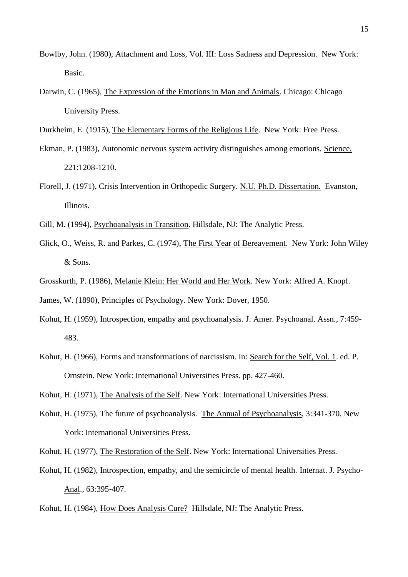- Bowlby, John. (1980), Attachment and Loss, Vol. III: Loss Sadness and Depression. New York: Basic.
- Darwin, C. (1965), The Expression of the Emotions in Man and Animals. Chicago: Chicago University Press.
- Durkheim, E. (1915), The Elementary Forms of the Religious Life. New York: Free Press.
- Ekman, P. (1983), Autonomic nervous system activity distinguishes among emotions. Science, 221:1208-1210.
- Florell, J. (1971), Crisis Intervention in Orthopedic Surgery. N.U. Ph.D. Dissertation. Evanston, Illinois.
- Gill, M. (1994), Psychoanalysis in Transition. Hillsdale, NJ: The Analytic Press.
- Glick, O., Weiss, R. and Parkes, C. (1974), The First Year of Bereavement. New York: John Wiley & Sons.
- Grosskurth, P. (1986), Melanie Klein: Her World and Her Work. New York: Alfred A. Knopf.

James, W. (1890), Principles of Psychology. New York: Dover, 1950.

- Kohut, H. (1959), Introspection, empathy and psychoanalysis. J. Amer. Psychoanal. Assn., 7:459- 483.
- Kohut, H. (1966), Forms and transformations of narcissism. In: Search for the Self, Vol. 1. ed. P. Ornstein. New York: International Universities Press. pp. 427-460.
- Kohut, H. (1971), The Analysis of the Self. New York: International Universities Press.
- Kohut, H. (1975), The future of psychoanalysis. The Annual of Psychoanalysis, 3:341-370. New York: International Universities Press.

Kohut, H. (1977), The Restoration of the Self. New York: International Universities Press.

- Kohut, H. (1982), Introspection, empathy, and the semicircle of mental health. Internat. J. Psycho-Anal., 63:395-407.
- Kohut, H. (1984), How Does Analysis Cure? Hillsdale, NJ: The Analytic Press.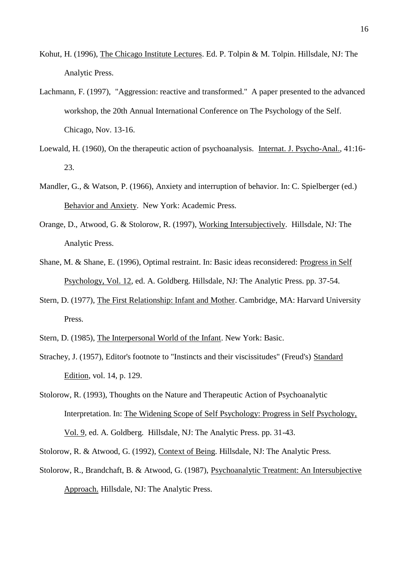- Kohut, H. (1996), The Chicago Institute Lectures. Ed. P. Tolpin & M. Tolpin. Hillsdale, NJ: The Analytic Press.
- Lachmann, F. (1997), "Aggression: reactive and transformed." A paper presented to the advanced workshop, the 20th Annual International Conference on The Psychology of the Self. Chicago, Nov. 13-16.
- Loewald, H. (1960), On the therapeutic action of psychoanalysis. Internat. J. Psycho-Anal., 41:16- 23.
- Mandler, G., & Watson, P. (1966), Anxiety and interruption of behavior. In: C. Spielberger (ed.) Behavior and Anxiety. New York: Academic Press.
- Orange, D., Atwood, G. & Stolorow, R. (1997), Working Intersubjectively. Hillsdale, NJ: The Analytic Press.
- Shane, M. & Shane, E. (1996), Optimal restraint. In: Basic ideas reconsidered: Progress in Self Psychology, Vol. 12, ed. A. Goldberg. Hillsdale, NJ: The Analytic Press. pp. 37-54.
- Stern, D. (1977), The First Relationship: Infant and Mother. Cambridge, MA: Harvard University Press.
- Stern, D. (1985), The Interpersonal World of the Infant. New York: Basic.
- Strachey, J. (1957), Editor's footnote to "Instincts and their viscissitudes" (Freud's) Standard Edition, vol. 14, p. 129.
- Stolorow, R. (1993), Thoughts on the Nature and Therapeutic Action of Psychoanalytic Interpretation. In: The Widening Scope of Self Psychology: Progress in Self Psychology, Vol. 9, ed. A. Goldberg. Hillsdale, NJ: The Analytic Press. pp. 31-43.
- Stolorow, R. & Atwood, G. (1992), Context of Being. Hillsdale, NJ: The Analytic Press.
- Stolorow, R., Brandchaft, B. & Atwood, G. (1987), Psychoanalytic Treatment: An Intersubjective Approach. Hillsdale, NJ: The Analytic Press.